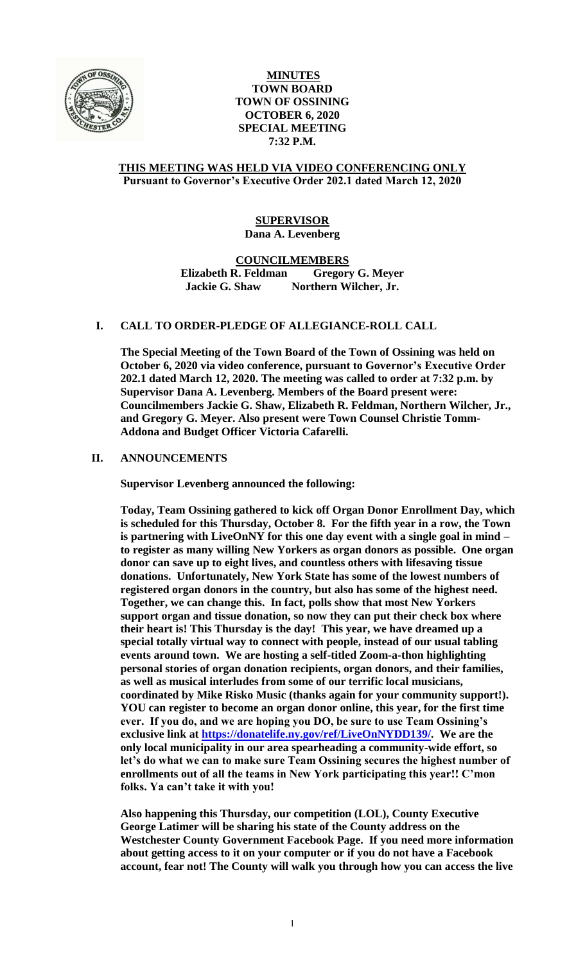

# **MINUTES TOWN BOARD TOWN OF OSSINING OCTOBER 6, 2020 SPECIAL MEETING 7:32 P.M.**

#### **THIS MEETING WAS HELD VIA VIDEO CONFERENCING ONLY Pursuant to Governor's Executive Order 202.1 dated March 12, 2020**

# **SUPERVISOR Dana A. Levenberg**

**COUNCILMEMBERS**

**Elizabeth R. Feldman Gregory G. Meyer Jackie G. Shaw Northern Wilcher, Jr.**

## **I. CALL TO ORDER-PLEDGE OF ALLEGIANCE-ROLL CALL**

**The Special Meeting of the Town Board of the Town of Ossining was held on October 6, 2020 via video conference, pursuant to Governor's Executive Order 202.1 dated March 12, 2020. The meeting was called to order at 7:32 p.m. by Supervisor Dana A. Levenberg. Members of the Board present were: Councilmembers Jackie G. Shaw, Elizabeth R. Feldman, Northern Wilcher, Jr., and Gregory G. Meyer. Also present were Town Counsel Christie Tomm-Addona and Budget Officer Victoria Cafarelli.** 

## **II. ANNOUNCEMENTS**

**Supervisor Levenberg announced the following:** 

**Today, Team Ossining gathered to kick off Organ Donor Enrollment Day, which is scheduled for this Thursday, October 8. For the fifth year in a row, the Town is partnering with LiveOnNY for this one day event with a single goal in mind – to register as many willing New Yorkers as organ donors as possible. One organ donor can save up to eight lives, and countless others with lifesaving tissue donations. Unfortunately, New York State has some of the lowest numbers of registered organ donors in the country, but also has some of the highest need. Together, we can change this. In fact, polls show that most New Yorkers support organ and tissue donation, so now they can put their check box where their heart is! This Thursday is the day! This year, we have dreamed up a special totally virtual way to connect with people, instead of our usual tabling events around town. We are hosting a self-titled Zoom-a-thon highlighting personal stories of organ donation recipients, organ donors, and their families, as well as musical interludes from some of our terrific local musicians, coordinated by Mike Risko Music (thanks again for your community support!). YOU can register to become an organ donor online, this year, for the first time ever. If you do, and we are hoping you DO, be sure to use Team Ossining's exclusive link at [https://donatelife.ny.gov/ref/LiveOnNYDD139/.](https://donatelife.ny.gov/ref/LiveOnNYDD139/) We are the only local municipality in our area spearheading a community-wide effort, so let's do what we can to make sure Team Ossining secures the highest number of enrollments out of all the teams in New York participating this year!! C'mon folks. Ya can't take it with you!**

**Also happening this Thursday, our competition (LOL), County Executive George Latimer will be sharing his state of the County address on the Westchester County Government Facebook Page. If you need more information about getting access to it on your computer or if you do not have a Facebook account, fear not! The County will walk you through how you can access the live**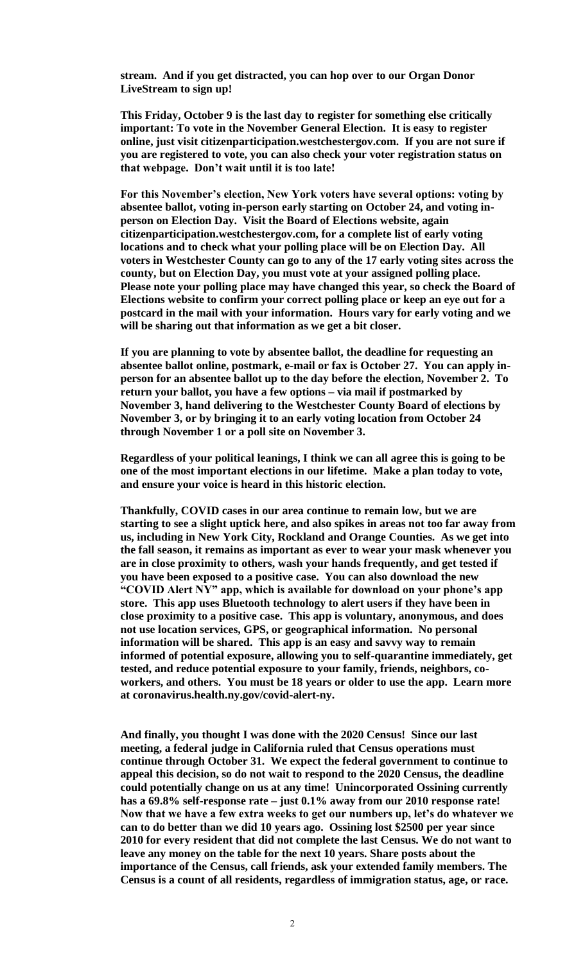**stream. And if you get distracted, you can hop over to our Organ Donor LiveStream to sign up!**

**This Friday, October 9 is the last day to register for something else critically important: To vote in the November General Election. It is easy to register online, just visit citizenparticipation.westchestergov.com. If you are not sure if you are registered to vote, you can also check your voter registration status on that webpage. Don't wait until it is too late!**

**For this November's election, New York voters have several options: voting by absentee ballot, voting in-person early starting on October 24, and voting inperson on Election Day. Visit the Board of Elections website, again citizenparticipation.westchestergov.com, for a complete list of early voting locations and to check what your polling place will be on Election Day. All voters in Westchester County can go to any of the 17 early voting sites across the county, but on Election Day, you must vote at your assigned polling place. Please note your polling place may have changed this year, so check the Board of Elections website to confirm your correct polling place or keep an eye out for a postcard in the mail with your information. Hours vary for early voting and we will be sharing out that information as we get a bit closer.** 

**If you are planning to vote by absentee ballot, the deadline for requesting an absentee ballot online, postmark, e-mail or fax is October 27. You can apply inperson for an absentee ballot up to the day before the election, November 2. To return your ballot, you have a few options – via mail if postmarked by November 3, hand delivering to the Westchester County Board of elections by November 3, or by bringing it to an early voting location from October 24 through November 1 or a poll site on November 3.** 

**Regardless of your political leanings, I think we can all agree this is going to be one of the most important elections in our lifetime. Make a plan today to vote, and ensure your voice is heard in this historic election.** 

**Thankfully, COVID cases in our area continue to remain low, but we are starting to see a slight uptick here, and also spikes in areas not too far away from us, including in New York City, Rockland and Orange Counties. As we get into the fall season, it remains as important as ever to wear your mask whenever you are in close proximity to others, wash your hands frequently, and get tested if you have been exposed to a positive case. You can also download the new "COVID Alert NY" app, which is available for download on your phone's app store. This app uses Bluetooth technology to alert users if they have been in close proximity to a positive case. This app is voluntary, anonymous, and does not use location services, GPS, or geographical information. No personal information will be shared. This app is an easy and savvy way to remain informed of potential exposure, allowing you to self-quarantine immediately, get tested, and reduce potential exposure to your family, friends, neighbors, coworkers, and others. You must be 18 years or older to use the app. Learn more at coronavirus.health.ny.gov/covid-alert-ny.** 

**And finally, you thought I was done with the 2020 Census! Since our last meeting, a federal judge in California ruled that Census operations must continue through October 31. We expect the federal government to continue to appeal this decision, so do not wait to respond to the 2020 Census, the deadline could potentially change on us at any time! Unincorporated Ossining currently has a 69.8% self-response rate – just 0.1% away from our 2010 response rate! Now that we have a few extra weeks to get our numbers up, let's do whatever we can to do better than we did 10 years ago. Ossining lost \$2500 per year since 2010 for every resident that did not complete the last Census. We do not want to leave any money on the table for the next 10 years. Share posts about the importance of the Census, call friends, ask your extended family members. The Census is a count of all residents, regardless of immigration status, age, or race.**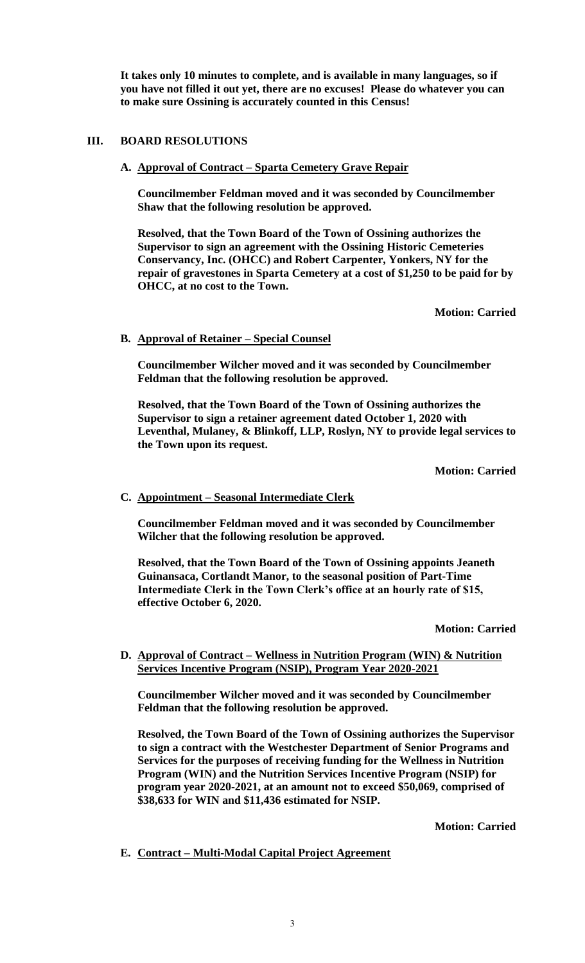**It takes only 10 minutes to complete, and is available in many languages, so if you have not filled it out yet, there are no excuses! Please do whatever you can to make sure Ossining is accurately counted in this Census!** 

## **III. BOARD RESOLUTIONS**

**A. Approval of Contract – Sparta Cemetery Grave Repair**

**Councilmember Feldman moved and it was seconded by Councilmember Shaw that the following resolution be approved.**

**Resolved, that the Town Board of the Town of Ossining authorizes the Supervisor to sign an agreement with the Ossining Historic Cemeteries Conservancy, Inc. (OHCC) and Robert Carpenter, Yonkers, NY for the repair of gravestones in Sparta Cemetery at a cost of \$1,250 to be paid for by OHCC, at no cost to the Town.** 

**Motion: Carried**

## **B. Approval of Retainer – Special Counsel**

**Councilmember Wilcher moved and it was seconded by Councilmember Feldman that the following resolution be approved.**

**Resolved, that the Town Board of the Town of Ossining authorizes the Supervisor to sign a retainer agreement dated October 1, 2020 with Leventhal, Mulaney, & Blinkoff, LLP, Roslyn, NY to provide legal services to the Town upon its request.**

**Motion: Carried**

## **C. Appointment – Seasonal Intermediate Clerk**

**Councilmember Feldman moved and it was seconded by Councilmember Wilcher that the following resolution be approved.**

**Resolved, that the Town Board of the Town of Ossining appoints Jeaneth Guinansaca, Cortlandt Manor, to the seasonal position of Part-Time Intermediate Clerk in the Town Clerk's office at an hourly rate of \$15, effective October 6, 2020.**

**Motion: Carried**

## **D. Approval of Contract – Wellness in Nutrition Program (WIN) & Nutrition Services Incentive Program (NSIP), Program Year 2020-2021**

**Councilmember Wilcher moved and it was seconded by Councilmember Feldman that the following resolution be approved.**

**Resolved, the Town Board of the Town of Ossining authorizes the Supervisor to sign a contract with the Westchester Department of Senior Programs and Services for the purposes of receiving funding for the Wellness in Nutrition Program (WIN) and the Nutrition Services Incentive Program (NSIP) for program year 2020-2021, at an amount not to exceed \$50,069, comprised of \$38,633 for WIN and \$11,436 estimated for NSIP.**

**Motion: Carried**

**E. Contract – Multi-Modal Capital Project Agreement**